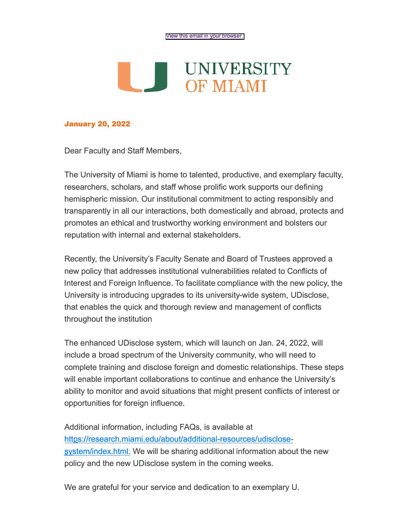## **L.J.** UNIVERSITY<br>OF MIAMI **OF MIAMI**

## **January 20, 2022**

Dear Faculty and Staff Members,

The University of Miami is home to talented, productive, and exemplary faculty, researchers, scholars, and staff whose prolific work supports our defining hemispheric mission. Our institutional commitment to acting responsibly and transparently in all our interactions, both domestically and abroad, protects and promotes an ethical and trustworthy working environment and bolsters our reputation with internal and external stakeholders.

Recently, the University's Faculty Senate and Board of Trustees approved a new policy that addresses institutional vulnerabilities related to Conflicts of Interest and Foreign Influence. To facilitate compliance with the new policy, the University is introducing upgrades to its university-wide system, UDisclose, that enables the quick and thorough review and management of conflicts throughout the institution

The enhanced UDisclose system, which will launch on Jan. 24, 2022, will include a broad spectrum of the University community, who will need to complete training and disclose foreign and domestic relationships. These steps will enable important collaborations to continue and enhance the University's ability to monitor and avoid situations that might present conflicts of interest or opportunities for foreign influence.

Additional information, including FAQs, is available at httgs://research.miami.edu/about/additional-resources/udisclose system/index.html. We will be sharing additional information about the new policy and the new UDisclose system in the coming weeks.

We are grateful for your service and dedication to an exemplary U.